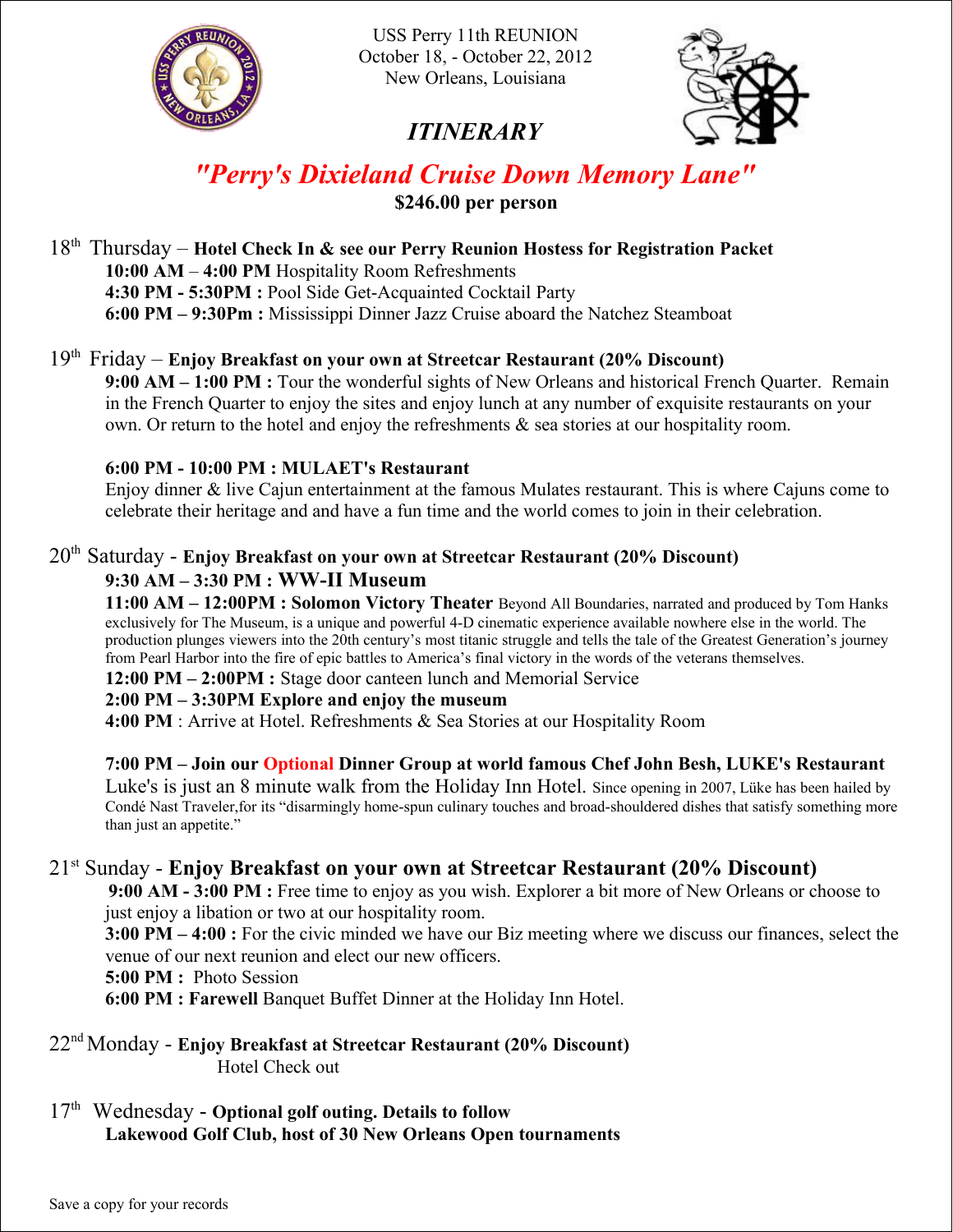

USS Perry 11th REUNION October 18, - October 22, 2012 New Orleans, Louisiana

# *ITINERARY*



# *"Perry's Dixieland Cruise Down Memory Lane"* **\$246.00 per person**

18th Thursday – **Hotel Check In & see our Perry Reunion Hostess for Registration Packet 10:00 AM** – **4:00 PM** Hospitality Room Refreshments **4:30 PM - 5:30PM :** Pool Side Get-Acquainted Cocktail Party **6:00 PM – 9:30Pm :** Mississippi Dinner Jazz Cruise aboard the Natchez Steamboat

#### 19th Friday – **Enjoy Breakfast on your own at Streetcar Restaurant (20% Discount) 9:00 AM – 1:00 PM :** Tour the wonderful sights of New Orleans and historical French Quarter. Remain in the French Quarter to enjoy the sites and enjoy lunch at any number of exquisite restaurants on your own. Or return to the hotel and enjoy the refreshments & sea stories at our hospitality room.

## **6:00 PM - 10:00 PM : MULAET's Restaurant**

Enjoy dinner & live Cajun entertainment at the famous Mulates restaurant. This is where Cajuns come to celebrate their heritage and and have a fun time and the world comes to join in their celebration.

## 20th Saturday - **Enjoy Breakfast on your own at Streetcar Restaurant (20% Discount)**

## **9:30 AM – 3:30 PM : WW-II Museum**

**11:00 AM – 12:00PM : Solomon Victory Theater** Beyond All Boundaries, narrated and produced by Tom Hanks exclusively for The Museum, is a unique and powerful 4-D cinematic experience available nowhere else in the world. The production plunges viewers into the 20th century's most titanic struggle and tells the tale of the Greatest Generation's journey from Pearl Harbor into the fire of epic battles to America's final victory in the words of the veterans themselves.

**12:00 PM – 2:00PM :** Stage door canteen lunch and Memorial Service

## **2:00 PM – 3:30PM Explore and enjoy the museum**

**4:00 PM** : Arrive at Hotel. Refreshments & Sea Stories at our Hospitality Room

## **7:00 PM – Join our Optional Dinner Group at world famous Chef John Besh, LUKE's Restaurant**

Luke's is just an 8 minute walk from the Holiday Inn Hotel. Since opening in 2007, Lüke has been hailed by Condé Nast Traveler,for its "disarmingly home-spun culinary touches and broad-shouldered dishes that satisfy something more than just an appetite."

## 21st Sunday - **Enjoy Breakfast on your own at Streetcar Restaurant (20% Discount)**

**9:00 AM - 3:00 PM :** Free time to enjoy as you wish. Explorer a bit more of New Orleans or choose to just enjoy a libation or two at our hospitality room.

**3:00 PM – 4:00 :** For the civic minded we have our Biz meeting where we discuss our finances, select the venue of our next reunion and elect our new officers.

**5:00 PM :** Photo Session

**6:00 PM : Farewell** Banquet Buffet Dinner at the Holiday Inn Hotel.

22nd Monday - **Enjoy Breakfast at Streetcar Restaurant (20% Discount)** Hotel Check out

17th Wednesday - **Optional golf outing. Details to follow Lakewood Golf Club, host of 30 New Orleans Open tournaments**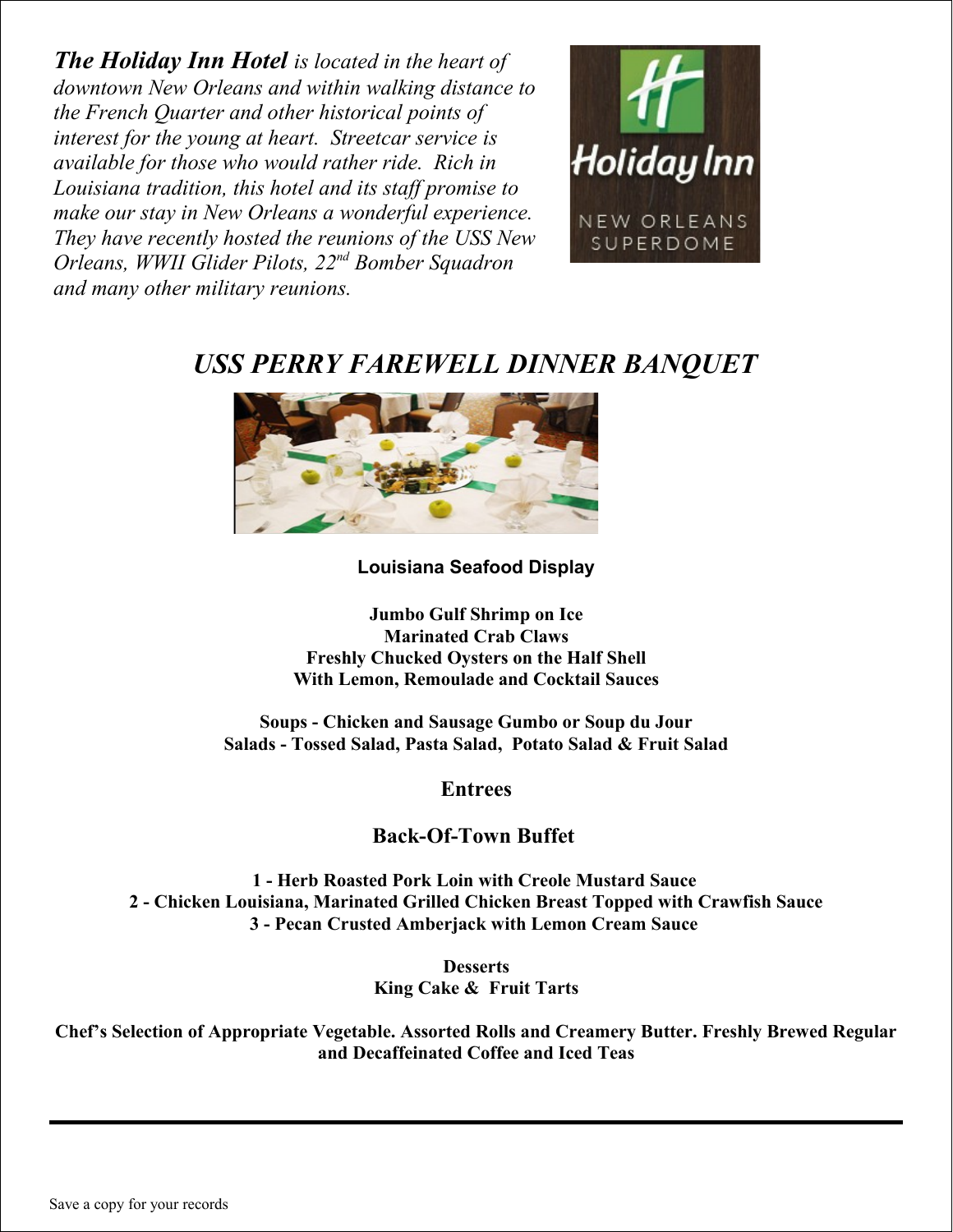*The Holiday Inn Hotel is located in the heart of downtown New Orleans and within walking distance to the French Quarter and other historical points of interest for the young at heart. Streetcar service is available for those who would rather ride. Rich in Louisiana tradition, this hotel and its staff promise to make our stay in New Orleans a wonderful experience. They have recently hosted the reunions of the USS New Orleans, WWII Glider Pilots, 22nd Bomber Squadron and many other military reunions.* 



# *USS PERRY FAREWELL DINNER BANQUET*



**Louisiana Seafood Display**

**Jumbo Gulf Shrimp on Ice Marinated Crab Claws Freshly Chucked Oysters on the Half Shell With Lemon, Remoulade and Cocktail Sauces**

**Soups - Chicken and Sausage Gumbo or Soup du Jour Salads - Tossed Salad, Pasta Salad, Potato Salad & Fruit Salad**

**Entrees**

## **Back-Of-Town Buffet**

**1 - Herb Roasted Pork Loin with Creole Mustard Sauce 2 - Chicken Louisiana, Marinated Grilled Chicken Breast Topped with Crawfish Sauce 3 - Pecan Crusted Amberjack with Lemon Cream Sauce** 

> **Desserts King Cake & Fruit Tarts**

**Chef's Selection of Appropriate Vegetable. Assorted Rolls and Creamery Butter. Freshly Brewed Regular and Decaffeinated Coffee and Iced Teas**